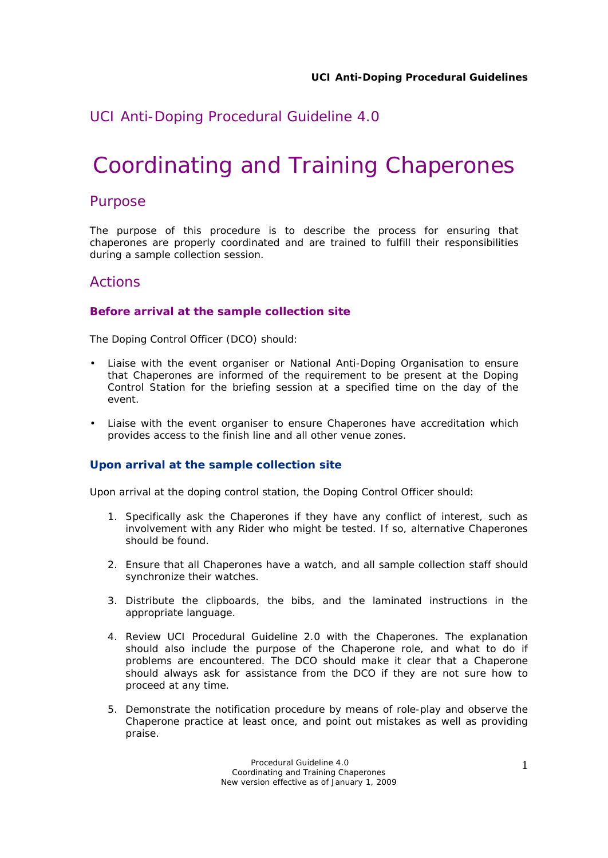# *UCI Anti-Doping Procedural Guideline 4.0*

# Coordinating and Training Chaperones

## Purpose

The purpose of this procedure is to describe the process for ensuring that chaperones are properly coordinated and are trained to fulfill their responsibilities during a sample collection session.

# Actions

### **Before arrival at the sample collection site**

The Doping Control Officer (DCO) should:

- Liaise with the event organiser or National Anti-Doping Organisation to ensure that Chaperones are informed of the requirement to be present at the Doping Control Station for the briefing session at a specified time on the day of the event.
- Liaise with the event organiser to ensure Chaperones have accreditation which provides access to the finish line and all other venue zones.

#### **Upon arrival at the sample collection site**

Upon arrival at the doping control station, the Doping Control Officer should:

- 1. Specifically ask the Chaperones if they have any conflict of interest, such as involvement with any Rider who might be tested. If so, alternative Chaperones should be found.
- 2. Ensure that all Chaperones have a watch, and all sample collection staff should synchronize their watches.
- 3. Distribute the clipboards, the bibs, and the laminated instructions in the appropriate language.
- 4. Review UCI Procedural Guideline 2.0 with the Chaperones. The explanation should also include the purpose of the Chaperone role, and what to do if problems are encountered. The DCO should make it clear that a Chaperone should always ask for assistance from the DCO if they are not sure how to proceed at any time.
- 5. Demonstrate the notification procedure by means of role-play and observe the Chaperone practice at least once, and point out mistakes as well as providing praise.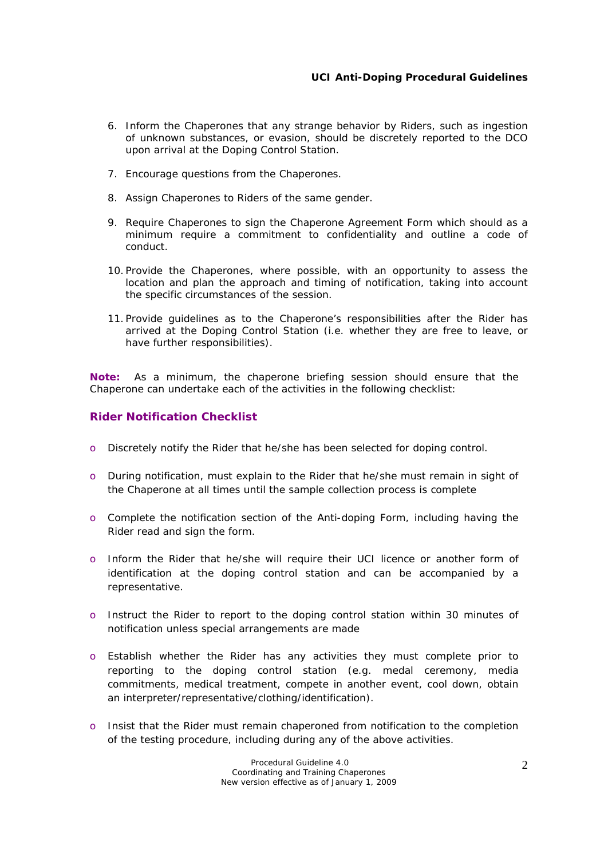- 6. Inform the Chaperones that any strange behavior by Riders, such as ingestion of unknown substances, or evasion, should be discretely reported to the DCO upon arrival at the Doping Control Station.
- 7. Encourage questions from the Chaperones.
- 8. Assign Chaperones to Riders of the same gender.
- 9. Require Chaperones to sign the Chaperone Agreement Form which should as a minimum require a commitment to confidentiality and outline a code of conduct.
- 10. Provide the Chaperones, where possible, with an opportunity to assess the location and plan the approach and timing of notification, taking into account the specific circumstances of the session.
- 11. Provide guidelines as to the Chaperone's responsibilities after the Rider has arrived at the Doping Control Station (i.e. whether they are free to leave, or have further responsibilities).

**Note:** As a minimum, the chaperone briefing session should ensure that the Chaperone can undertake each of the activities in the following checklist:

#### **Rider Notification Checklist**

- o Discretely notify the Rider that he/she has been selected for doping control.
- o During notification, must explain to the Rider that he/she must remain in sight of the Chaperone at all times until the sample collection process is complete
- o Complete the notification section of the Anti-doping Form, including having the Rider read and sign the form.
- o Inform the Rider that he/she will require their UCI licence or another form of identification at the doping control station and can be accompanied by a representative.
- o Instruct the Rider to report to the doping control station within 30 minutes of notification unless special arrangements are made
- o Establish whether the Rider has any activities they must complete prior to reporting to the doping control station (e.g. medal ceremony, media commitments, medical treatment, compete in another event, cool down, obtain an interpreter/representative/clothing/identification).
- o Insist that the Rider must remain chaperoned from notification to the completion of the testing procedure, including during any of the above activities.